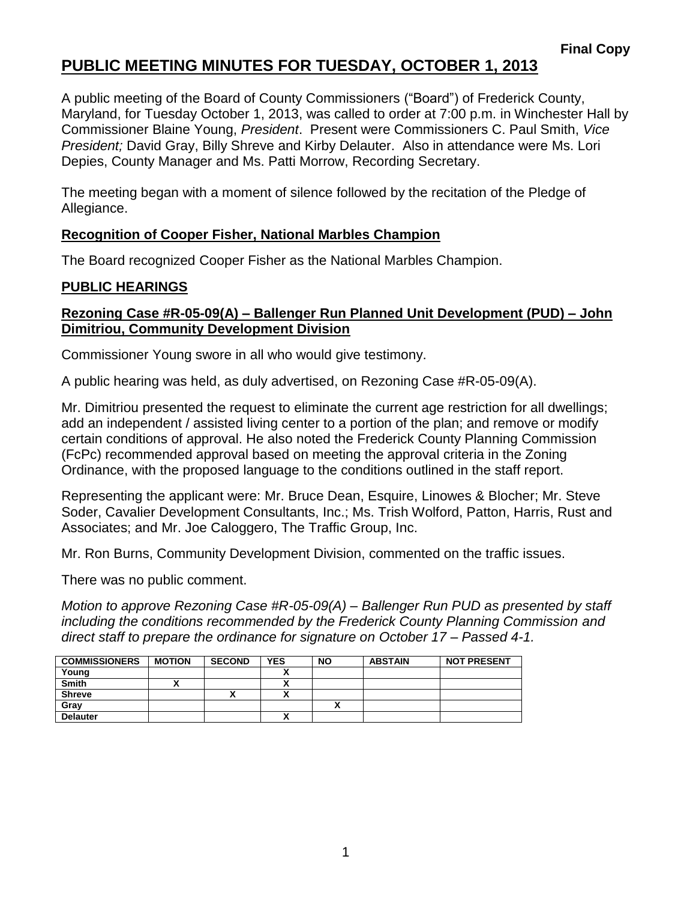# **PUBLIC MEETING MINUTES FOR TUESDAY, OCTOBER 1, 2013**

A public meeting of the Board of County Commissioners ("Board") of Frederick County, Maryland, for Tuesday October 1, 2013, was called to order at 7:00 p.m. in Winchester Hall by Commissioner Blaine Young, *President*. Present were Commissioners C. Paul Smith, *Vice President;* David Gray, Billy Shreve and Kirby Delauter. Also in attendance were Ms. Lori Depies, County Manager and Ms. Patti Morrow, Recording Secretary.

The meeting began with a moment of silence followed by the recitation of the Pledge of Allegiance.

#### **Recognition of Cooper Fisher, National Marbles Champion**

The Board recognized Cooper Fisher as the National Marbles Champion.

### **PUBLIC HEARINGS**

#### **Rezoning Case #R-05-09(A) – Ballenger Run Planned Unit Development (PUD) – John Dimitriou, Community Development Division**

Commissioner Young swore in all who would give testimony.

A public hearing was held, as duly advertised, on Rezoning Case #R-05-09(A).

Mr. Dimitriou presented the request to eliminate the current age restriction for all dwellings; add an independent / assisted living center to a portion of the plan; and remove or modify certain conditions of approval. He also noted the Frederick County Planning Commission (FcPc) recommended approval based on meeting the approval criteria in the Zoning Ordinance, with the proposed language to the conditions outlined in the staff report.

Representing the applicant were: Mr. Bruce Dean, Esquire, Linowes & Blocher; Mr. Steve Soder, Cavalier Development Consultants, Inc.; Ms. Trish Wolford, Patton, Harris, Rust and Associates; and Mr. Joe Caloggero, The Traffic Group, Inc.

Mr. Ron Burns, Community Development Division, commented on the traffic issues.

There was no public comment.

*Motion to approve Rezoning Case #R-05-09(A) – Ballenger Run PUD as presented by staff including the conditions recommended by the Frederick County Planning Commission and direct staff to prepare the ordinance for signature on October 17 – Passed 4-1.*

| <b>COMMISSIONERS</b> | <b>MOTION</b> | <b>SECOND</b> | <b>YES</b> | <b>NO</b> | <b>ABSTAIN</b> | <b>NOT PRESENT</b> |
|----------------------|---------------|---------------|------------|-----------|----------------|--------------------|
| Young                |               |               |            |           |                |                    |
| <b>Smith</b>         |               |               |            |           |                |                    |
| <b>Shreve</b>        |               | Λ             |            |           |                |                    |
| Gray                 |               |               |            |           |                |                    |
| <b>Delauter</b>      |               |               |            |           |                |                    |